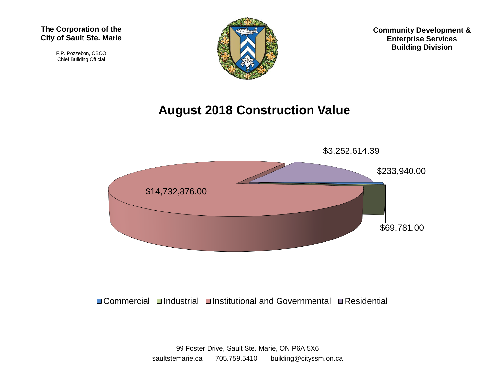#### **The Corporation of the City of Sault Ste. Marie**

F.P. Pozzebon, CBCO Chief Building Official



**Community Development & Enterprise Services Building Division**

#### **August 2018 Construction Value**



 $\Box$  Commercial  $\Box$ Industrial  $\Box$ Institutional and Governmental  $\Box$  Residential

99 Foster Drive, Sault Ste. Marie, ON P6A 5X6 saultstemarie.ca | 705.759.5410 | building@cityssm.on.ca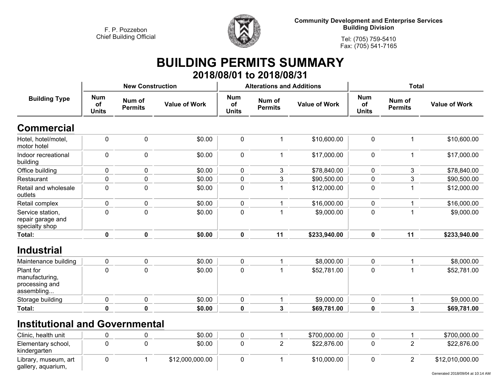

**Community Development and Enterprise Services Building Division**

**Tel: (705) 759-5410Fax: (705) 541-7165**

#### **BUILDING PERMITS SUMMARY 2018/08/01 to 2018/08/31**

| <b>Building Type</b>                                        |                                  | <b>New Construction</b>  |                      |                                  | <b>Alterations and Additions</b> |                      | <b>Total</b>                     |                          |                      |
|-------------------------------------------------------------|----------------------------------|--------------------------|----------------------|----------------------------------|----------------------------------|----------------------|----------------------------------|--------------------------|----------------------|
|                                                             | <b>Num</b><br>of<br><b>Units</b> | Num of<br><b>Permits</b> | <b>Value of Work</b> | <b>Num</b><br>of<br><b>Units</b> | Num of<br><b>Permits</b>         | <b>Value of Work</b> | <b>Num</b><br>of<br><b>Units</b> | Num of<br><b>Permits</b> | <b>Value of Work</b> |
| <b>Commercial</b>                                           |                                  |                          |                      |                                  |                                  |                      |                                  |                          |                      |
| Hotel, hotel/motel,<br>motor hotel                          | $\mathbf 0$                      | $\mathbf 0$              | \$0.00               | 0                                | 1                                | \$10,600.00          | 0                                | 1                        | \$10,600.00          |
| Indoor recreational<br>building                             | 0                                | $\pmb{0}$                | \$0.00               | $\pmb{0}$                        | 1                                | \$17,000.00          | 0                                |                          | \$17,000.00          |
| Office building                                             | $\mathbf 0$                      | 0                        | \$0.00               | $\mathbf 0$                      | 3                                | \$78,840.00          | 0                                | 3                        | \$78,840.00          |
| Restaurant                                                  | $\pmb{0}$                        | 0                        | \$0.00               | 0                                | $\mathfrak{S}$                   | \$90,500.00          | 0                                | $\mathbf{3}$             | \$90,500.00          |
| Retail and wholesale<br>outlets                             | $\pmb{0}$                        | $\pmb{0}$                | \$0.00               | $\pmb{0}$                        | 1                                | \$12,000.00          | 0                                |                          | \$12,000.00          |
| Retail complex                                              | $\pmb{0}$                        | 0                        | \$0.00               | 0                                | 1                                | \$16,000.00          | 0                                |                          | \$16,000.00          |
| Service station,<br>repair garage and<br>specialty shop     | $\pmb{0}$                        | 0                        | \$0.00               | 0                                |                                  | \$9,000.00           | 0                                |                          | \$9,000.00           |
| Total:                                                      | $\pmb{0}$                        | 0                        | \$0.00               | $\mathbf 0$                      | 11                               | \$233,940.00         | $\mathbf 0$                      | 11                       | \$233,940.00         |
| <b>Industrial</b>                                           |                                  |                          |                      |                                  |                                  |                      |                                  |                          |                      |
| Maintenance building                                        | 0                                | 0                        | \$0.00               | $\mathbf 0$                      | 1                                | \$8,000.00           | $\mathbf 0$                      |                          | \$8,000.00           |
| Plant for<br>manufacturing,<br>processing and<br>assembling | $\pmb{0}$                        | $\mathbf 0$              | \$0.00               | 0                                | $\overline{\mathbf{1}}$          | \$52,781.00          | 0                                |                          | \$52,781.00          |
| Storage building                                            | $\pmb{0}$                        | 0                        | \$0.00               | $\mathbf 0$                      | 1                                | \$9,000.00           | $\mathbf 0$                      |                          | \$9,000.00           |
| Total:                                                      | $\mathbf 0$                      | $\mathbf 0$              | \$0.00               | 0                                | $\mathbf{3}$                     | \$69,781.00          | 0                                | $\mathbf{3}$             | \$69,781.00          |

## **Institutional and Governmental**

| Clinic, health unit                        |  | \$0.00          |  | \$700,000.00 |  | \$700,000.00    |
|--------------------------------------------|--|-----------------|--|--------------|--|-----------------|
| Elementary school,<br>kindergarten         |  | \$0.00          |  | \$22,876.00  |  | \$22,876.00     |
| Library, museum, art<br>gallery, aquarium, |  | \$12,000,000.00 |  | \$10,000.00  |  | \$12,010,000.00 |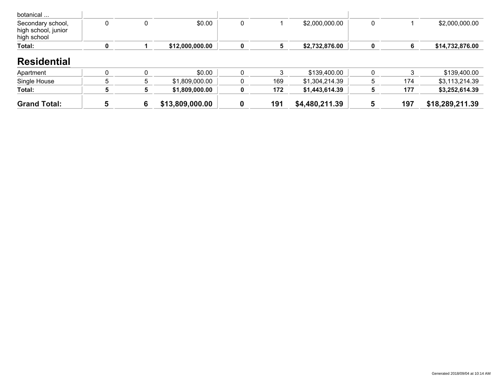| botanical                                               |  |                 |  |                |  |                 |
|---------------------------------------------------------|--|-----------------|--|----------------|--|-----------------|
| Secondary school,<br>high school, junior<br>high school |  | \$0.00          |  | \$2,000,000.00 |  | \$2,000,000.00  |
| Total:                                                  |  | \$12,000,000.00 |  | \$2,732,876.00 |  | \$14,732,876.00 |

#### **Residential**

| Apartment           |  | \$0.00          |     | \$139,400.00   |     | \$139,400.00    |
|---------------------|--|-----------------|-----|----------------|-----|-----------------|
| Single House        |  | \$1,809,000.00  | 169 | \$1.304.214.39 | 174 | \$3,113,214.39  |
| Total:              |  | \$1,809,000.00  | 172 | \$1.443.614.39 | 177 | \$3,252,614.39  |
| <b>Grand Total:</b> |  | \$13,809,000.00 | 191 | \$4,480,211.39 | 197 | \$18,289,211.39 |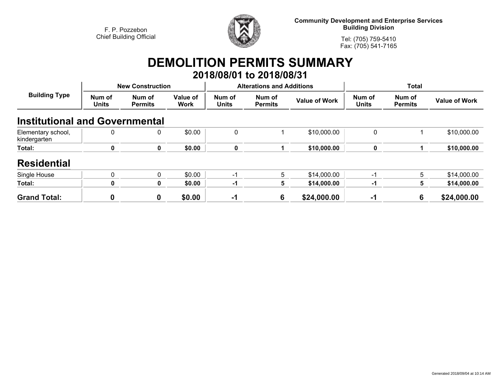

**Community Development and Enterprise Services Building Division**

**Tel: (705) 759-5410Fax: (705) 541-7165**

# **DEMOLITION PERMITS SUMMARY**

|                                       |                        |                          |                  |                        | 2018/08/01 to 2018/08/31         |                      |                        |                          |                      |  |
|---------------------------------------|------------------------|--------------------------|------------------|------------------------|----------------------------------|----------------------|------------------------|--------------------------|----------------------|--|
| <b>Building Type</b>                  |                        | <b>New Construction</b>  |                  |                        | <b>Alterations and Additions</b> |                      | <b>Total</b>           |                          |                      |  |
|                                       | Num of<br><b>Units</b> | Num of<br><b>Permits</b> | Value of<br>Work | Num of<br><b>Units</b> | Num of<br><b>Permits</b>         | <b>Value of Work</b> | Num of<br><b>Units</b> | Num of<br><b>Permits</b> | <b>Value of Work</b> |  |
| <b>Institutional and Governmental</b> |                        |                          |                  |                        |                                  |                      |                        |                          |                      |  |
| Elementary school,<br>kindergarten    | 0                      | 0                        | \$0.00           | 0                      |                                  | \$10,000.00          | 0                      |                          | \$10,000.00          |  |
| Total:                                | 0                      | $\mathbf 0$              | \$0.00           | 0                      |                                  | \$10,000.00          | $\mathbf 0$            |                          | \$10,000.00          |  |
| <b>Residential</b>                    |                        |                          |                  |                        |                                  |                      |                        |                          |                      |  |
| Single House                          | $\mathbf{0}$           | $\mathbf{0}$             | \$0.00           | -1                     | 5                                | \$14,000.00          | $-1$                   | 5                        | \$14,000.00          |  |
| Total:                                | 0                      | $\mathbf{0}$             | \$0.00           | $-1$                   | 5                                | \$14,000.00          | $-1$                   | 5.                       | \$14,000.00          |  |
| <b>Grand Total:</b>                   | 0                      | 0                        | \$0.00           | -1                     | 6                                | \$24,000.00          | -1                     | 6                        | \$24,000.00          |  |